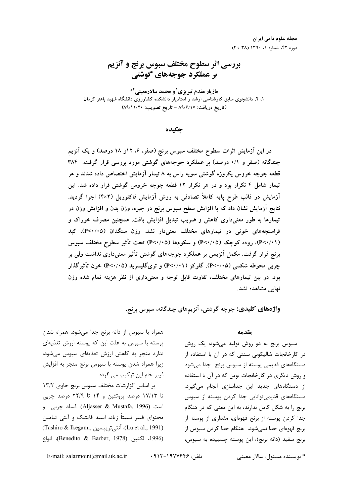## بررسی اثر سطوح مختلف سبوس برنج و آنزیم بر عملکرد جوجههای گوشتی

مازیار مقدم تبریزی<sup>1</sup> و محمد سالارمعینی<sup>2\*</sup> ۱، ۲، دانشجوی سابق کارشناسی ارشد و استادیار دانشکده کشاورزی دانشگاه شهید باهنر کرمان (تاريخ دريافت: ٨٩/٦/١٧ - تاريخ تصويب: ٨٩/١١/٢٠)

حكىدە

در این آزمایش اثرات سطوح مختلف سبوس برنج (صفر، ۶، ۱۲و ۱۸ درصد) و یک آنزیم چندگانه (صفر و ۰/۱ درصد) بر عملکرد جوجههای گوشتی مورد بررسی قرار گرفت. ۳۸۴ قطعه جوجه خروس یکروزه گوشتی سویه راس به ۸ تیمار آزمایش اختصاص داده شدند و هر تیمار شامل ۴ تکرار بود و در هر تکرار ۱۲ قطعه جوجه خروس گوشتی قرار داده شد. این آزمایش در قالب طرح پایه کاملاً تصادفی به روش آزمایش فاکتوریل (۴×۴) اجرا گردید. نتایج آزمایش نشان داد که با افزایش سطح سبوس برنج در جیره، وزن بدن و افزایش وزن در تیمارها به طور معنیداری کاهش و ضریب تبدیل افزایش یافت. همچنین مصرف خوراک و فراسنجههای خونی در تیمارهای مختلف معنیدار نشد. وزن سنگدان (P<۰/۰۵)، کبد (P<۰/۰۱)، روده کوچک (P<۰/۰۵) و سکومها (P<۰/۰۵) تحت تأثیر سطوح مختلف سبوس برنج قرار گرفت. مکمل آنزیمی بر عملکرد جوجههای گوشتی تأثیر معنیداری نداشت ولی بر جربی محوطه شکمی (P<۰/۰۵)، گلوکز (P<۰/۰۱) و تریگلیسرید (P<۰/۰۵) خون تأثیرگذار بود. در بین تیمارهای مختلف، تفاوت قابل توجه و معنیداری از نظر هزینه تمام شده وزن نهایی مشاهده نشد.

واژههای کلیدی: جوجه گوشتی، آنزیمهای چندگانه، سبوس برنج.

مقدمه

سبوس برنج به دو روش تولید می شود: یک روش در کارخانجات شالیکوبی سنتی که در آن با استفاده از دستگاههای قدیمی پوسته از سبوس برنج جدا میشود و روش دیگری در کارخانجات نوین که در آن با استفاده از دستگاههای جدید این جداسازی انجام می گیرد. دستگاههای قدیمیتوانایی جدا کردن پوسته از سبوس برنج را به شکل کامل ندارند، به این معنی که در هنگام جدا کردن پوسته از برنج قهوهای، مقداری از پوسته از برنج قهوهای جدا نمی شود. هنگام جدا کردن سبوس از برنج سفيد (دانه برنج)، اين پوسته چسبيده به سبوس،

پوسته با سبوس به علت این که پوسته ارزش تغذیهای ندارد منجر به کاهش ارزش تغذیهای سبوس می شود، زيرا همراه شدن پوسته با سبوس برنج منجر به افزايش فيبر خام اين تركيب مي گردد. بر اساس گزارشات مختلف سبوس برنج حاوی ١٣/٢ تا ۱۷/۱۳ درصد پروتئین و ۱۴ تا ۲۲/۹ درصد چربی

همراه با سبوس از دانه برنج جدا می شود. همراه شدن

است (Aljasser & Mustafa, 1996). فساد چربی و محتوای فیبر نسبتاً زیاد، اسید فایتیک و آنتی تیامین (Lu et al., 1991)، آنتي ترييسين (Tashiro & Ikegami) (1996، لكتين (Benedito & Barber, 1978)، انواع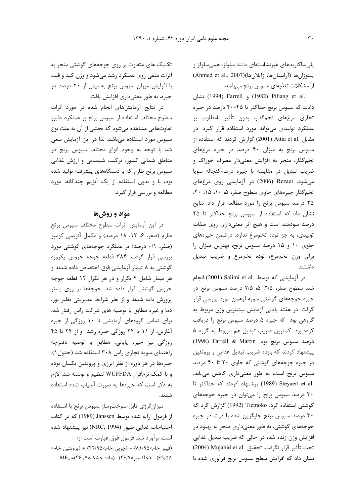یلی ساکاریدهای غیرنشاستهای مانند سلولز، همی سلولز و ينتوزان ها (آرابينان ها، زايلان ها)(Ahmed et al., 2007) از مشکلات تغذیهای سبوس برنج میباشد.

.iang et al.) و Farrell و 1982) Farrell نشان دادند که سبوس برنج حداکثر تا ۴۵-۴۰ درصد در جیره تجاري مرغهاي تخم5دار، بدون تأثير نامطلوب بر عملکرد تولیدی می تواند مورد استفاده قرار گیرد. در مقابل .Attia et al (2001) گزارش کردند که استفاده از سبوس برنج به میزان ۴۰ درصد در جیره مرغهای تخمگذار، منجر به افزایش معنیدار مصرف خوراک و ضريب تبديل در مقايسه با جيره ذرت-كنجاله سويا میشود. Rezaei (2006) در آزمایشی روی مرغهای تخم گذار جیرههای حاوی سطوح صفر، ۵، ۱۰، ۱۵، ۲۰، ۲۵ درصد سبوس برنج را مورد مطالعه قرار داد. نتایج نشان داد که استفاده از سبوس برنج حداکثر تا ۲۵ درصد سودمند است و هیچ اثر معنیداری روی صفات تولیدی، به جز توده تخممرغ ندارد. درضمن جیرههای حاوی ١٠ و ١٥ درصد سبوس برنج، بهترين ميزان را برای وزن تخمهرغ، توده تخمهرغ و ضریب تبدیل داشتند.

در آزمایشی که توسط .Salimi et al (2001) انجام شد، سطوح صفر، ۲/۵، ۵، ۷/۵ درصد سبوس برنج در جیره جوجههای گوشتی سویه لوهمن مورد بررسی قرار گرفت. در هفته پایانی آزمایش بیشترین وزن مربوط به گروهی بود که جیره ۵ درصد سبوس برنج را دریافت كرده بود. كمترين ضريب تبديل هم مربوط به گروه ۵ درصد سبوس برنج بود. Farrell & Martin (1998) پیشنهاد کردند که بازده ضریب تبدیل غذایی و پروتئین در جیره جوجههای گوشتی که حاوی ۲۰ تا ۴۰ درصد سبوس برنج است، به طور معنیداری کاهش می یابد. .Steyaert et al (1989) ييشنهاد كردند كه حداكثر تا ۳۰ درصد سبوس برنج را میتوان در جیره جوجههای گوشتی استفاده کرد. Tiemoko (1992) گزارش کرد که ۳۰ درصد سبوس برنج جایگزین شده با ذرت در جیره جوجههای گوشتی، به طور معنیداری منجر به بهبود در افزایش وزن زنده شد، در حالی که ضریب تبدیل غذایی تحت تأثير قرار نكرفت. تحقيق .Mujahid et al (2004) نشان داد که افزایش سطح سبوس برنج فرآوری شده با

تکنیک های متفاوت بر روی جوجههای گوشتی منجر به اثرات منفی روی عملکرد رشد می شود و وزن کبد و قلب با افزایش میزان سبوس برنج به بیش از ۲۰ درصد در جیره، به طور معنیداری افزایش یافت.

در نتایج آزمایشهای انجام شده در مورد اثرات سطوح مختلف استفاده از سبوس برنج بر عملكرد طيور تفاوتهایی مشاهده می شود که بخشی از آن به علت نوع سبوس مورد استفاده میباشد. لذا در این آزمایش سعی شد با توجه به وجود انواع مختلف سبوس برنج در مناطق شمالی کشور، ترکیب شیمیایی و ارزش غذایی سبوس برنج طارم که با دستگاههای پیشرفته تولید شده بود، با و بدون استفاده از یک آنزیم چندگانه، مورد مطالعه و بررسی قرار گیرد.

## مواد و روشها

در این آزمایش اثرات سطوح مختلف سبوس برنج طارم (صفر، ۶، ۱۲، ۱۸ درصد) و مکمل آنزیمی کومبو (صفر، ٠/١ درصد) بر عملکرد جوجههای گوشتی مورد بررسی قرار گرفت. ۳۸۴ قطعه جوجه خروس یکروزه گوشتی به ۸ تیمار آزمایشی فوق اختصاص داده شدند و هر تیمار شامل ۴ تکرار و در هر تکرار ۱۲ قطعه جوجه خروس گوشتی قرار داده شد. جوجهها بر روی بستر پرورش داده شدند و از نظر شرایط مدیریتی نظیر نور، دما و غیره مطابق با توصیه های شرکت راس رفتار شد. برای تمامی گروههای آزمایشی تا ۱۰ روزگی از جیره آغازین، از ۱۱ تا ۲۴ روزگی جیره رشد و از ۲۴ تا ۴۵ روزگی نیز جیره پایانی، مطابق با توصیه دفترچه راهنمای سویه تجاری راس ۳۰۸ استفاده شد (جدول ۱). جیرهها در هر دوره از نظر انرژی و پروتئین یکسان بوده و با کمک نرمافزار WUFFDA تنظیم و نوشته شد. لازم به ذکر است که جیرهها به صورت آسیاب شده استفاده شدند.

میزانانرژی قابل سوختوساز سبوس برنج با استفاده از فرمول ارايه شده توسط Janssen (1989) كه در كتاب احتياجات غذايي طيور (NRC, 1994) نيز پيشنهاد شده است، برآورد شد. فرمول فوق عبارت است از: (فيبر خام×۱/۹۵) - (چربي خام×۴۲/۹۵) + (پروتئين خام× ۶۹/۵۵) - (خاکستر ۴۶/۷×۴)- (ماده خشک×// ۴۶/ ۴۶)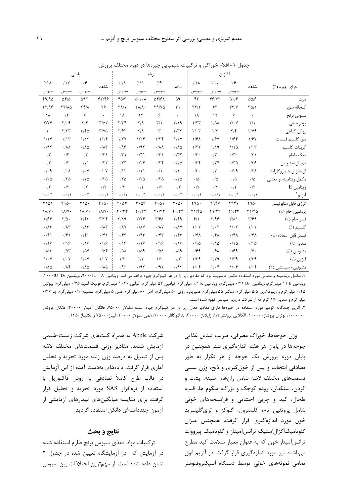|                       |                            | آغازين                  |                         |                       |                                 | ر شد                          |                                |                                                |                           |                                 | یایانی                        |                              |
|-----------------------|----------------------------|-------------------------|-------------------------|-----------------------|---------------------------------|-------------------------------|--------------------------------|------------------------------------------------|---------------------------|---------------------------------|-------------------------------|------------------------------|
| اجزای جیره (٪)        | شاهد                       | 7.5                     | 7.15                    | $71\lambda$           | شاهد                            | 7.8                           | 717                            | 7.1A                                           | شاهد                      | 7.5                             | 717                           | 7.1 <sub>A</sub>             |
|                       |                            | سبوس                    | سبوس                    | سبوس                  |                                 | سبوس                          | سبوس                           | سبوس                                           |                           | سبوس                            | سبوس                          | سبوس                         |
| ذر ت                  | $\Delta\Delta/\mathcal{F}$ | Q1/F                    | 48/77                   | ۴٢                    | ۵۹                              | 54/61                         | $\Delta \cdot / \cdot \Lambda$ | $f\Delta/\tau$                                 | 55/195                    | $\Delta$ 9/1                    | $\Delta f/\Delta$             | 49/90                        |
| كنجاله سويا           | $T\Delta/1$                | $\tau\tau/\gamma$       | ٣٣                      | $\tau\tau/\tau$       | ٣١                              | Y9/YQ                         | $\Upsilon \Lambda / \Lambda$   | <b>TA/1</b>                                    | ۲۶                        | $Yf/\lambda$                    | <b>TT/14</b>                  | YY/99                        |
| سبوس برنج             |                            | ۶                       | $\mathcal{N}$           | ١٨                    | ۰                               | ۶                             | $\mathcal{N}$                  | ١٨                                             |                           | ۶                               | $\mathcal{N}$                 | ١٨                           |
| پودر ماهی             | $\frac{1}{\sqrt{2}}$       | $Y/\cdot Y$             | $1/\Delta\lambda$       | 1/TT                  | T/19                            | $\mathbf{r}/\mathbf{r}$       | $Y/\lambda$                    | Y/YF                                           | $T/\Delta T$              | $\mathbf{r}/\mathbf{r}$         | $\mathbf{r}/\cdot \mathbf{q}$ | Y/Yf                         |
| روغن گياهي            | $Y/Y$ ۹                    | $\mathbf{Y}/\mathbf{F}$ | $\mathbf{Y}/\mathbf{Y}$ | $Y/\cdot Y$           | T/TT                            | ٣                             | $Y/\lambda$                    | Y/FY                                           | $Y/Y\Delta$               | $\mathbf{r}/\mathbf{r}$         | T/TT                          | ٣                            |
| دى كلسيم فسفات        | 1/FV                       | 1/Ff                    | 1/FV                    | 1/F <sub>A</sub>      | 1/7V                            | 1/7f                          | 1/7f                           | 1/7V                                           | 1/15                      | 1/15                            | 1/15                          | 1/1                          |
| كربنات كلسيم          | 1/15                       | 1/10                    | 1/19                    | 1/77                  | .740                            | $\cdot/\lambda\lambda$        | .197                           | .199                                           | .71                       | $\cdot/\lambda\Delta$           | $\cdot/\lambda\lambda$        | .197                         |
| نمک طعام              | $\cdot$ /٣)                | $\cdot \pi \cdot$       | $\cdot/\mathfrak{r}$ .  | $\cdot \pi \cdot$     | .777                            | $\cdot$ /٣١                   | $\cdot$ /٣١                    | $\cdot$ /٣١                                    | $\cdot$ /٣١               | $\cdot$ /٣                      | $\cdot$ /٣                    | $\cdot/\tau$                 |
| دى ال-متيونين         | .779                       | $\cdot$ $\nmid$ ۳۵      | .77                     | $\cdot$ /۳۴           | .70                             | .75                           | .75                            | .77                                            | .777                      | .71                             | $\cdot$ /٢                    | $\cdot/\tau$                 |
| ال-ليزين هيدروكلرايد  | $.77\lambda$               | .79                     | $\cdot/\mathfrak{r}$ .  | $\cdot \wedge \cdot$  | $\cdot/\rangle$ .               | $\cdot/\Lambda$               | $\cdot/11$                     | .117                                           | $\cdot$ / $\cdot$ Y       | $\cdot$ / $\cdot$ $\vee$        | $\cdot$ / $\cdot$ $\wedge$    | $\cdot$ / $\cdot$ 9          |
| مکمل ویتامینه و معدنی | $\cdot/\Delta$             | $\cdot/\Delta$          | $\cdot/\Delta$          | $\cdot/\Delta$        | .70                             | .70                           | .70                            | .70                                            | .70                       | .70                             | .70                           | .70                          |
| $E$ ويتامين           | $\cdot$ /٢                 | $\cdot$ /٢              | $\cdot$ /٢              | $\cdot$ /٢            | $\cdot$ /٢                      | $\cdot$ /٢                    | $\cdot$ /٢                     | $\cdot$ /٢                                     | $\cdot$ /٢                | $\cdot$ /٢                      | $\cdot$ /٢                    | $\cdot$ /٢                   |
| آنزیم ٌ               | $\cdot$ - $\cdot$ / \      | $\cdot$ - $\cdot$ / \   | $\cdot$ - $\cdot$ / \   | $\cdot$ - $\cdot$ / \ | $\cdot$ - $\cdot$ / \           | $\cdot$ - $\cdot$ / \         | $\cdot$ - $\cdot$ / \          | $\cdot$ - $\cdot$ / \                          | $\cdot$ - $\cdot$ / \     | $\cdot$ - $\cdot$ / $\setminus$ | $\cdot$ - $\cdot$ / \         | $\cdot$ - $\cdot$ / \        |
| انرژى قابل متابوليسم  | ٢٩۵٠                       | <b>7947</b>             | ۲۹۴۷                    | Y90.                  | $\mathbf{r} \cdot \mathbf{r}$ . | $\mathbf{r} \cdot \mathbf{r}$ | $\mathbf{r} \cdot \mathbf{r}$  | $\mathbf{r} \cdot \mathbf{r}$                  | T10.                      | T10.                            | T10.                          | ۳۱۵۱                         |
| پروتئين خام (٪)       | Y1/FQ                      | Y1/FY                   | Y1/FY                   | Y1/FQ                 | $Y \cdot / Y$                   | $Y \cdot / Y$                 | $Y \cdot / Y$                  | $\mathbf{Y} \cdot \mathbf{X} \cdot \mathbf{Y}$ | $\lambda/\gamma$ .        | $\lambda/\gamma$ .              | $\lambda/\gamma$ .            | $\lambda/\gamma$ .           |
| فيبر خام (٪)          | $\mathbf{r}/\mathbf{r}$    | $\Upsilon/\Lambda$      | $\Upsilon/95$           | $f/\lambda$           | $\mathbf{r}/\mathbf{r}$         | $\mathbf{Y}/\mathbf{Y}$       | Y/Yf                           | $\Gamma/\Lambda$ 9                             | $\mathbf{r}/\mathbf{r}$   | $\mathbf{r}/\mathbf{r}$         | $\mathbf{r}/\mathbf{r}$ .     | $\mathbf{r}/\mathbf{r}$      |
| كلسيم (٪)             | $1/\cdot 7$                | $1/\cdot 7$             | $1/\cdot 7$             | $1/\cdot 7$           | $\cdot$ / $\lambda$ Y           | $\cdot/\lambda\mathrm{V}$     | $\cdot/\lambda\mathrm{V}$      | $\cdot$ / $\lambda$ Y                          | $\cdot/\lambda\mathsf{r}$ | $\cdot/\lambda\tau$             | $\cdot/\lambda\tau$           | $\cdot/\lambda\mathsf{r}$    |
| فسفر قابل اسفاده (٪)  | $.$ /۴۸                    | $.76\lambda$            | .761                    | $\cdot$ /۴۸           | .75                             | $\cdot$ /۴۳                   | $\cdot$ /۴۳                    | .75                                            | $\cdot$ /۴۱               | $\cdot$ /۴۱                     | $\cdot$ /۴۱                   | $\cdot$ /۴۱                  |
| سديم (٪)              | $\cdot/\Delta$             | $\cdot$ / ۱ $\Delta$    | $\cdot/\Delta$          | $\cdot/\Delta$        | .19                             | .19                           | .19                            | .19                                            | .19                       | $\cdot$ /18                     | .19                           | .19                          |
| متيونين (٪)           | $\cdot/\Upsilon$           | .199                    | $\cdot$ /۶۸             | .199                  | .709                            | $\cdot/\Delta\lambda$         | .709                           | $\cdot$ / $\Delta\lambda$                      | .708                      | .708                            | .78                           | .78                          |
| ليزين (٪)             | $1/\tau$ 9                 | $1/\tau$ ۹              | $1/\tau$ 9              | $1/\tau$ 9            | 1/5                             | $1/\tau$                      | 1/5                            | 1/5                                            | $1/\cdot Y$               | $1/\cdot Y$                     | $1/\cdot V$                   | $1/\cdot Y$                  |
| متيونين+ سيستين (٪)   | $1/\cdot f$                | $1/\cdot$ ۴             | $1/\cdot$ ۴             | $1/\cdot$ ۴           | .797                            | .797                          | .797                           | .797                                           | $\cdot/\lambda\Delta$     | $\cdot/\lambda\Delta$           | .78                           | $\cdot$ / $\lambda$ $\Delta$ |

جدول ١- اقلام خوراکي و ترکيبات شيميايي جيرهها در دوره مختلف پرورش

۰۱. مکمل ویتامینه و معدنی مورد استفاده مکمل فرماویت بود که مقادیر زیر را در هر کیلوگرم جیره فراهم میکند: ویتامین A۰۰۰IU . A، ویتامین D، ا ويتامين N E ميلي گرم، ويتامين :M B، ميلي گرم، ويتامين K ۱/۱ ميلي گرم، تيامين ۵۳ ميلي گرم، کولين ١٠٢٠ ميلي گرم، فوليک اسيد ۲/۵، ميلي گرم، بيوتين ۲۵/۰ میلیگرم و ریبوفلاوین ۵/۵ میلیگرم، منگنز ۵۵ میلیگرم، منیزیم و روی ۵۰ میلیگرم، اهن ۸۰ میلیگرم، مس ۵ میلیگرم، ید ۱۳۶۰ میلیگرم، ید ۱۳۶ میلیگرم و سدیم ۱/۶ گرم که از شرکت دارویی سیانس تهیه شده است.

۲. آنزیم چندگانه کومبو مورد استفاده در جیرهها دارای مقادیر فعال زیر در هر کیلوگرم جیره است: سلولاز ۷۵۰۰۰، فانگل پرستاز ۳۰۰۰۰، فانگال پروتئاز ۱۰۰۰۰۰۰، نوترال پروتئاز ۱۰۰۰۰۰، آلکالاین پروتئاز ۱/۲، زایلاناز ۲۰۰۰۰، بتاگلوکاناز ۲۰۰۰۰، همی سلولاز ۲۰۰۰۰، لیپاز ۲۵۰۰۰ و پکتیناز ۱۲۵۰.

> وزن جوجهها، خوراک مصرفی، ضریب تبدیل غذایی جوجهها در پایان هر هفته اندازهگیری شد. همچنین در پایان دوره پرورش یک جوجه از هر تکرار به طور تصادفي انتخاب و پس از خون گيري و ذبح، وزن نسبي قسمتهای مختلف لاشه شامل رانها، سینه، پشت و گردن، سنگدان، روده کوچک و بزرگ، سکوم ها، قلب، طحال، کبد و چربی احشایی و فراسنجههای خونی شامل پروتئین تام، کلسترول، گلوکز و تریگلیسرید خون مورد اندازهگیری قرار گرفت. همچنین میزان گلوتامیکاگزالاستیک ترانس آمیناز و گلوتامیک پیرووات ترانسآمیناز خون که به عنوان معیار سلامت کبد مطرح میباشند نیز مورد اندازهگیری قرار گرفت. دو آنزیم فوق تمامی نمونههای خونی توسط دستگاه اسپکتروفتومتر

شرکت Apple به همراه کیتهای شرکت زیست-شیمی آزمايش شدند. مقادير وزني قسمتهاى مختلف لاشه پس از تبدیل به درصد وزن زنده مورد تجزیه و تحلیل آماری قرار گرفت. دادههای بهدست آمده از این آزمایش در قالب طرح کاملاً تصادفی به روش فاکتوریل با استفاده از نرمافزار SAS مورد تجزيه و تحليل قرار گرفت. برای مقایسه میانگینهای تیمارهای آزمایشی از آزمون چنددامنهای دانکن استفاده گردید.

## نتايج و بحث

تركيبات مواد مغذى سبوس برنج طارم استفاده شده در آزمایش که در آزمایشگاه تعیین شد، در جدول ۲ نشان داده شده است. از مهمترین اختلافات بین سبوس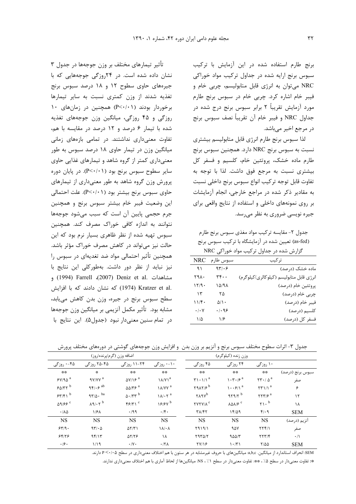برنج طارم استفاده شده در این آزمایش با ترکیب سبوس برنج ارایه شده در جداول ترکیب مواد خوراکی NRC میتوان به انرژی قابل متابولیسم، چربی خام و فيبر خام اشاره كرد. چربي خام در سبوس برنج طارم مورد آزمایش تقریباً ۲ برابر سبوس برنج درج شده در جداول NRC و فيبر خام آن تقريباً نصف سبوس برنج در مرجع اخیر مے باشد.

لذا سبوس برنج طارم انرژى قابل متابوليسم بيشترى نسبت به سبوس برنج NRC دارد. همچنین سبوس برنج طارم ماده خشک، پروتئین خام، کلسیم و فسفر کل بیشتری نسبت به مرجع فوق داشت. لذا با توجه به تفاوت قابل توجه تركيب انواع سبوس برنج داخلي نسبت به مقادیر ذکر شده در مراجع خارجی، انجام آزمایشات بر روی نمونههای داخلی و استفاده از نتایج واقعی برای جیره نویسی ضروری به نظر میرسد.

جدول ٢- مقايسه تركيب مواد مغذى سبوس برنج طارم (as-fed) تعیین شده در آزمایشگاه با ترکیب سبوس برنج گزارش شده در جداول ترکیب مواد خوراکی NRC

| تركيب                                    | سبوس طارم          | NRC                                                |
|------------------------------------------|--------------------|----------------------------------------------------|
| ماده خشک (درصد)                          | 97.5               | ۹۱                                                 |
| انرژی قابل متابولیسم (کیلوکالری/کیلوگرم) | ٣۴٠٠               | ۲۹۸۰                                               |
| پروتئين خام (درصد)                       | ۱۵/۹۸              | 17/9                                               |
| چربی خام (درصد)                          | ۲۵                 | ۱۳                                                 |
| فيبر خام (درصد)                          | $\Delta/\Lambda$ . | 11/f                                               |
| كلسيم (درصد)                             | ۹۶.۱۰              | $\boldsymbol{\cdot}\,/\boldsymbol{\cdot}\,$ $\vee$ |
| فسفر كل (درصد)                           | ۱۶                 | ۱/۵                                                |

تأثیر تیمارهای مختلف بر وزن جوجهها در جدول ۳ نشان داده شده است. در ۲۴روزگی جوجههایی که با جیرههای حاوی سطوح ۱۲ و ۱۸ درصد سبوس برنج تغذیه شدند از وزن کمتری نسبت به سایر تیمارها برخوردار بودند (P<٠/٠١) همچنین در زمانهای ١٠ روزگی و ۴۵ روزگی، میانگین وزن جوجههای تغذیه شده با تیمار ۶ درصد و ۱۲ درصد در مقایسه با هم، تفاوت معنى دارى نداشتند. در تمامى بازههاى زمانى میانگین وزن در تیمار حاوی ۱۸ درصد سبوس به طور معنی داری کمتر از گروه شاهد و تیمارهای غذایی حاوی سایر سطوح سبوس برنج بود (P<۰/۰۱). در پایان دوره پرورش وزن گروه شاهد به طور معنیداری از تیمارهای حاوی سبوس برنج بیشتر بود (P<۰/۰۱). علت احتمالی این وضعیت فیبر خام بیشتر سبوس برنج و همچنین جرم حجمی پایین آن است که سبب می شود جوجهها نتوانند به اندازه کافی خوراک مصرف کند. همچنین سبوس تهیه شده از نظر ظاهری بسیار نرم بود که این حالت نیز می تواند در کاهش مصرف خوراک مؤثر باشد. همچنین تأثیر احتمالی مواد ضد تغدیهای در سبوس را نیز نباید از نظر دور داشت. بهطورکلی این نتایج با مشاهدات .Deniz et al (2007) و1994) و1994) .Kratzer et al (1974) که نشان دادند که با افزایش سطح سبوس برنج در جیره، وزن بدن کاهش مییابد، مشابه بود. تأثير مكمل آنزيمي بر ميانگين وزن جوجهها در تمام سنين معنى دار نبود (جدول۵). اين نتايج با

جدول ۳- اثرات سطوح مختلف سبوس برنج و آنزیم بر وزن بدن ۖ و افزایش وزن جوجههای گوشتی در دورههای مختلف پرورش

|                       | اضافه وزن (گرم/پرنده/روز)                |                                              |                             |                                       | وزن زنده (كيلوگرم)             |                                            |                  |
|-----------------------|------------------------------------------|----------------------------------------------|-----------------------------|---------------------------------------|--------------------------------|--------------------------------------------|------------------|
| ۴۵-۰ روزگی            | ۲۵-۲۵ روزگی                              | ۲۴-۱۱ روزگی                                  | ۰۱۰ روزگی                   | ۴۵ روزگی                              | ۲۴ روزگی                       | ۱۰ روزگی                                   |                  |
| **                    | $\mathcal{R}$                            | **                                           | **                          | **                                    | **                             | **                                         | سبوس برنج (درصد) |
| 54/90                 | ۹۷/۷۷ <sup>a</sup>                       | $\Delta V/\gamma$ ۶ <sup>a</sup>             | $\lambda/\gamma \lambda^a$  | $\mathbf{Y}\mathbf{1}\cdot\mathbf{1}$ | $\cdot \tau \cdot \beta^a$     | $\tau\tau \cdot / \Delta^a$                | صفر              |
| 50/77                 | 95.6                                     | $\Delta\Delta/\Upsilon$ $\zeta$ <sup>a</sup> | $\lambda$ /YY $^a$          | $Y9AY/F^b$                            | $\cdots$ $9/1$ <sup>a</sup>    | $\Upsilon \Upsilon \Upsilon$               | ۶                |
| 55/5                  | $97/\Delta$ . ba                         | $\Delta \cdot$ /۳۳ $^{\rm b}$                | $1\lambda/\cdot \Upsilon^a$ | <b>TARY</b> <sup>b</sup>              | 979/7                          | $\tau \tau \tau$ / $\epsilon$ <sup>a</sup> | $\gamma$         |
| 09/88 C               | $\lambda$ 9/ $\cdot$ $\tau$ <sup>b</sup> | f(f Y)                                       | 18/8V b                     | <b>TYTY/A<sup>c</sup></b>             | $\lambda \Delta \lambda / 5$ ° | $\gamma_1.$ <sup>b</sup>                   | ١٨               |
| $\cdot/\lambda\Delta$ | 1/F <sub>A</sub>                         | .199                                         | $\cdot$ /۴.                 | $T\Lambda/T$                          | 15/29                          | $f(\cdot)$                                 | <b>SEM</b>       |
| <b>NS</b>             | <b>NS</b>                                | <b>NS</b>                                    | <b>NS</b>                   | <b>NS</b>                             | <b>NS</b>                      | <b>NS</b>                                  | انزیم (درصد)     |
| 559.                  | 97/6                                     | $\Delta Y/Y$                                 | $\lambda/\cdot \lambda$     | Y919/1                                | ۹۵۷                            | $\tau \tau f/\lambda$                      | صفر              |
| 88/79                 | 95/15                                    | $\Delta Y/Y$                                 | ١٨                          | $Y9Y\Delta/Y$                         | 900/7                          | YYY/F                                      | $\cdot/\wedge$   |
| .19.                  | ۱/۱۹                                     | $\cdot$ /Y $\cdot$                           | $.17\lambda$                | TY/Y                                  | $\langle \cdot   \tau \rangle$ | $Y/\Delta\Delta$                           | <b>SEM</b>       |

SEM: انحراف استاندارد از میانگین. a,b,c. میانگینهای با حروف غیرمشابه در هر ستون با هم اختلاف معنیداری در سطح ۲۰/۰۵ دارند.

\*: تفاوت معنیدار در سطح ۰٫۵٪ \*: تفاوت معنیدار در سطح ۰٫۱٪ ، NS؛ میانگینها از لحاظ آماری با هم اختلاف معنیداری ندارند.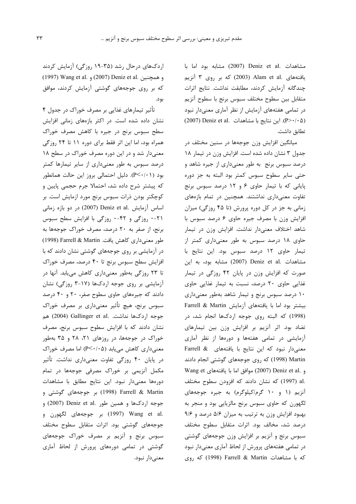مشاهدات .Deniz et al (2007) مشابه بود اما با یافتههای .Alam et al (2003) که بر روی ۳ آنزیم چندگانه آزمایش کردند، مطابقت نداشت. نتایج اثرات متقابل بين سطوح مختلف سبوس برنج با سطوح آنزيم در تمامی هفتههای آزمایش از نظر آماری معنیدار نبود (P>٠/٠۵). این نتایج با مشاهدات .Deniz et al (2007) تطابق داشت.

میانگین افزایش وزن جوجهها در سنین مختلف در جدول ٣ نشان داده شده است. افزايش وزن در تيمار ١٨ درصد سبوس برنج به طور معنیداری از جیره شاهد و حتى ساير سطوح سبوس كمتر بود البته به جز دوره یایانی که با تیمار حاوی ۶ و ۱۲ درصد سبوس برنج تفاوت معنیداری نداشتند. همچنین در تمام بازههای زمانی به جز در کل دوره پرورش (تا ۴۵ روزگی) میزان افزایش وزن با مصرف جیره حاوی ۶ درصد سبوس با شاهد اختلاف معنى دار نداشت. افزايش وزن در تيمار حاوی ۱۸ درصد سبوس به طور معنیداری کمتر از تیمار حاوی ١٢ درصد سبوس بود. این نتایج با مشاهدات .Deniz et al (2007) مشابه بود، به این صورت که افزایش وزن در پایان ۴۲ روزگی در تیمار غذایی حاوی ۲۰ درصد، نسبت به تیمار غذایی حاوی ۱۰ درصد سبوس برنج و تیمار شاهد بهطور معنیداری بيشتر بود اما با يافتههاى آزمايش Farrell & Martin (1998) كه البته روى جوجه اردكها انجام شد، در تضاد بود. اثر آنزیم بر افزایش وزن بین تیمارهای آزمایشی در تمامی هفتهها و دورهها از نظر آماری معنى دار نبود كه اين نتايج با يافتههاى & Farrell Martin (1998) که روی جوجههای گوشتی انجام دادند Wang et و .2007) Deniz et al موافق اما با يافتههاى Wang et .al (1997) كه نشان دادند كه افزودن سطوح مختلف آنزیم (۱ و ۱۰ گرم/کیلوگرم) به جیره جوجههای لگهورن که حاوی سبوس برنج مالزیایی بود و منجر به بهبود افزایش وزن به ترتیب به میزان ۵/۶ درصد و ۹/۶ درصد شد، مخالف بود. اثرات متقابل سطوح مختلف سبوس برنج و آنزیم بر افزایش وزن جوجههای گوشتی در تمامی هفتههای پرورش از لحاظ آماری معنیدار نبود که با مشاهدات Farrell & Martin (1998) که روی

اردکهای درحال رشد (۳۵-۱۹ روزگی) آزمایش کردند و همچنين .Deniz et al. و 1997) Wang et al. که بر روی جوجههای گوشتی آزمایش کردند، موافق بود.

تأثیر تیمارهای غذایی بر مصرف خوراک در جدول ۴ نشان داده شده است. در اکثر بازههای زمانی افزایش سطح سبوس برنج در جیره با کاهش مصرف خوراک همراه بود، اما این اثر فقط برای دوره ۱۱ تا ۲۴ روزگی معنیدار شد و در این دوره مصرف خوراک در سطح ۱۸ درصد سبوس به طور معنیداری از سایر تیمارها کمتر بود (P ≺· ⁄-۱). دلیل احتمالی بروز این حالت همانطور که پیشتر شرح داده شد، احتمالا جرم حجمی پایین و كوچكتر بودن ذرات سبوس برنج مورد ازمايش است. بر اساس آزمایش .Deniz et al (2007) در دو بازه زمانی ٢١-٠ روزگي و ۴٢-٠ روزگي با افزايش سطح سبوس برنج، از صفر به ۲۰ درصد، مصرف خوراک جوجهها به طور معنی داری کاهش یافت. Farrell & Martin (1998) در آزمایشی بر روی جوجههای گوشتی نشان دادند که با افزایش سطح سبوس برنج تا ۴۰ درصد، مصرف خوراک تا ۲۳ روزگی بهطور معنیداری کاهش می یابد. آنها در آزمایشی بر روی جوجه اردکها (۱۷-۳ روزگی) نشان دادند که جیرههای حاوی سطوح صفر، ۲۰ و ۴۰ درصد سبوس برنج، هیچ تأثیر معنیداری بر مصرف خوراک جوجه اردكها نداشت. .Gallinger et al (2004) هم نشان دادند که با افزایش سطوح سبوس برنج، مصرف خوراک در جوجهها، در روزهای ۲۱، ۲۸ و ۳۵ بهطور معنیداری کاهش می یابد (P<۰/۰۵) اما مصرف خوراک در پایان ۴۰ روزگی تفاوت معنیداری نداشت. تأثیر مکمل آنزیمی بر خوراک مصرفی جوجهها در تمام دورهها معنىدار نبود. اين نتايج مطابق با مشاهدات Farrell & Martin (1998) بر جوجههای گوشتی و جوجه اردکها و همین طور .Deniz et al (2007) و .Wang et al (1997) بر جوجههای لگهورن و جوجههای گوشتی بود. اثرات متقابل سطوح مختلف سبوس برنج و آنزیم بر مصرف خوراک جوجههای گوشتی در تمامی دورههای پرورش از لحاظ آماری معنے دار نبود.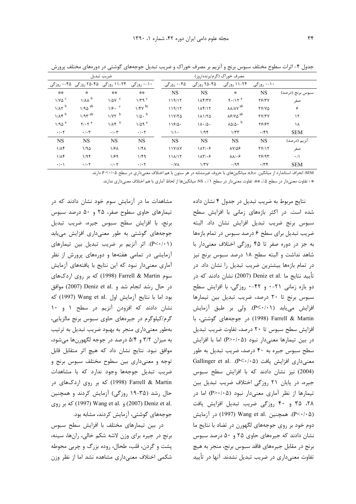|                           |                                  | ضريب تبديل                 |                           |                      |                                      | مصرف خوراک (گرم/پرنده/روز)          |              |                  |
|---------------------------|----------------------------------|----------------------------|---------------------------|----------------------|--------------------------------------|-------------------------------------|--------------|------------------|
|                           | ۲۵-۲۵ روزگی۔۴۵-۰ روزگی           | ۲۴-۱۱ روزگی                | ۱۰-۰ روزگی                | ۴۵-۰ روزگی           | ۲۵-۴۵ روزگی                          | ۲۴-۱۱ روزگی                         | ۰۱۰ روزگی    |                  |
| **                        | $\mathcal{L}$                    | **                         | **                        | <b>NS</b>            | <b>NS</b>                            | $\frac{1}{2}$                       | <b>NS</b>    | سبوس برنج (درصد) |
| $1/V\Delta$ <sup>c</sup>  | $1/\lambda\lambda^b$             | $1/\Delta Y$ <sup>c</sup>  | $1/\tau q^c$              | 119/17               | 1 <sup>K</sup>                       | $9.117$ <sup>a</sup>                | YF/Y         | صفر              |
| $1/A\tau^b$               | $1/90$ <sup>ab</sup>             | $1/5$ . $\degree$          | $1/fV$ <sup>bc</sup>      | 119/17               | 11511                                | $\lambda\lambda/\lambda\gamma^{ab}$ | <b>TY/VQ</b> | ۶                |
| $1/\lambda f^b$           | $1/9r^{ab}$                      | $1/YY$ <sup>b</sup>        | $1/\Delta$ . b            | $11Y/T\Delta$        | 11170                                | ۸۶/۷۵ <sup>ab</sup>                 | <b>TV/TV</b> | $\mathcal{N}$    |
| $1/90$ <sup>a</sup>       | $\mathbf{Y}/\cdot\mathbf{Y}^{a}$ | $1/\lambda f$ <sup>a</sup> | $1/\Delta$ 9 <sup>a</sup> | 119/0                | $1\Lambda \cdot / \Delta \cdot$      | $\lambda\Delta/\Delta$ . $^{\rm b}$ | 78187        | ١٨               |
| $\cdot$ / $\cdot$ $\cdot$ | $\cdot/\cdot$ ۳                  | $\cdot/\cdot7$             | $\cdot$ / $\cdot$ $\cdot$ | 1/1                  | 1/9f                                 | 1/TT                                | .79          | <b>SEM</b>       |
| <b>NS</b>                 | <b>NS</b>                        | <b>NS</b>                  | <b>NS</b>                 | <b>NS</b>            | <b>NS</b>                            | NS                                  | NS           | انزیم (درصد)     |
| $1/\Lambda f$             | 1/90                             | ۱/۶۸                       | $1/f\Lambda$              | <b><i>IIV/AV</i></b> | 117.5                                | $\lambda V/\Delta P$                | TY/Y         | صفر              |
| $1/\lambda f$             | 1/9f                             | ۱۱۶۹                       | 1/F9                      | 11 <sub>1</sub> /17  | $1\lambda\mathbf{Y}/\cdot\mathbf{P}$ | $\lambda \lambda / \cdot 5$         | $Y$ $9Y$     | $\cdot/\right)$  |
| $\cdot/\cdot$             | $\cdot$ / $\cdot$ $\cdot$        | $\cdot$ / $\cdot$ $\cdot$  | $\cdot$ / $\cdot$ $\cdot$ | $\cdot$ /YA          | 1/TV                                 | .195                                | .77          | <b>SEM</b>       |

جدول ۴- اثرات سطوح مختلف سبوس برنج و آنزیم بر مصرف خوراک و ضریب تبدیل جوجههای گوشتی در دورههای مختلف پرورش

SEM: انحراف استاندارد از میانگین. a,b,c. میانگینهای با حروف غیرمشابه در هر ستون با هم اختلاف معنیداری در سطح ۲۰/۰۵ دارند.

\* : تفاوت معنىدار در سطح ۵٪، \*\* تفاوت معنىدار در سطح ۱٪ ، 18s ميانگينها از لحاظ آماري با هم اختلاف معنىداري ندارند.

نتایج مربوط به ضریب تبدیل در جدول ۴ نشان داده شده است. در اکثر بازههای زمانی با افزایش سطح سبوس برنج ضريب تبديل افزايش نشان داد. البته ضریب تبدیل برای سطح ۶ درصد سبوس در تمام بازهها به جز در دوره صفر تا ۴۵ روزگی اختلاف معنیدار با شاهد نداشت و البته سطح ١٨ درصد سبوس برنج نيز در تمام بازهها بیشترین ضریب تبدیل را نشان داد. در تأييد نتايج ما .Deniz et al (2007) نشان دادند كه در دو بازه زمانی ٢١-٠ و ۴٢-٠ روزگی، با افزايش سطح سبوس برنج تا ٢٠ درصد، ضريب تبديل بين تيمارها افزایش می یابد (P<۰/۰۱). ولی بر طبق آزمایش Farrell & Martin (1998) در جوجههای گوشتی، با افزایش سطح سبوس تا ۲۰ درصد، تفاوت ضریب تبدیل در بين تيمارها معنى دار نبود (P>٠/٠۵) اما با افزايش سطح سبوس جيره به ۴۰ درصد، ضريب تبديل به طور Gallinger et al. .(P<٠/٠۵) يافت (٩<٠/٠٥). (2004) نیز نشان دادند که با افزایش سطح سبوس جیره، در پایان ۲۱ روزگی اختلاف ضریب تبدیل بین تیمارها از نظر آماری معنیدار نبود (P>٠/٠۵) اما در ۲۸، ۳۵ و ۴۰ روزگی ضریب تبدیل افزایش یافت (P<٠/٠۵). همچنین .Wang et al (1997) در آزمایش دوم خود بر روی جوجههای لگهورن در تضاد با نتایج ما نشان دادند که جیرههای حاوی ۲۵ و ۵۰ درصد سبوس برنج در مقابل جيرەهاي فاقد سبوس برنج، منجر به هيچ تفاوت معنیداری در ضریب تبدیل نشدند. آنها در تأیید

مشاهدات ما در آزمایش سوم خود نشان دادند که در تیمارهای حاوی سطوح صفر، ۲۵ و ۵۰ درصد سبوس برنج، با افزایش سطح سبوس جیره، ضریب تبدیل جوجههای گوشتی به طور معنیداری افزایش می یابد (P<٠/٠١). اثر آنزیم بر ضریب تبدیل بین تیمارهای آزمایشی در تمامی هفتهها و دورههای پرورش از نظر آماری معنیدار نبود که این نتایج با یافتههای آزمایش سوم Farrell & Martin (1998) که بر روی اردکهای در حال رشد انجام شد و .Deniz et al (2007) موافق بود اما با نتايج آزمايش اول .Wang et al (1997) كه نشان دادند که افزودن آنزیم در سطح ۱ و ۱۰ گرم/کیلوگرم در جیرههای حاوی سبوس برنج مالزیایی، بهطور معنیداری منجر به بهبود ضریب تبدیل به ترتیب به میزان ۳/۲ و ۵/۴ درصد در جوجه لگهورنها میشود، موافق نبود. نتايج نشان داد كه هيچ اثر متقابل قابل توجه و معنیداری بین سطوح مختلف سبوس برنج و ضریب تبدیل جوجهها وجود ندارد که با مشاهدات Earrell & Martin (1998) که بر روی اردکهای در حال رشد (۳۵-۱۹ روزگی) آزمایش کردند و همچنین .2007) Deniz et al. (2007) Deniz et al. جوجههای گوشتی، آزمایش کردند، مشابه بود.

در بین تیمارهای مختلف با افزایش سطح سبوس برنج در جیره برای وزن لاشه شکم خالی، رانها، سینه، يشت و گردن، قلب، طحال، روده بزرگ و چربي محوطه شکمی اختلاف معنیداری مشاهده نشد اما از نظر وزن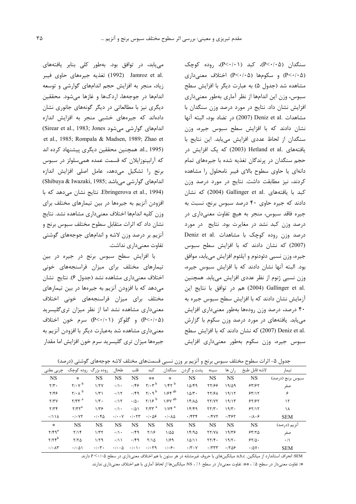سنگدان (P<۰/۰۵)، کبد (P<۰/۰۱)، روده کوچک (P<٠/٠۵) و سكومها (P<٠/٠۵) اختلاف معنى دارى مشاهده شد (جدول ۵) به عبارت دیگر با افزایش سطح سبوس، وزن این اندامها از نظر آماری بهطور معنیداری افزایش نشان داد. نتایج در مورد درصد وزن سنگدان با مشاهدات .Deniz et al (2007) در تضاد بود، البته آنها نشان دادند که با افزایش سطح سبوس جیره، وزن سنگدان از لحاظ عددی افزایش می یابد. این نتایج با یافتههای .Hetland et al (2003) که یک افزایش در حجم سنگدان در پرندگان تغذیه شده با جیرههای تمام دانهای یا حاوی سطوح بالای فیبر نامحلول را مشاهده كردند، نيز مطابقت داشت. نتايج در مورد درصد وزن کبد با یافتههای .Gallinger et al (2004) که نشان دادند که جیره حاوی ۴۰ درصد سبوس برنج، نسبت به جیره فاقد سبوس، منجر به هیچ تفاوت معنیداری در درصد وزن کبد نشد در مغایرت بود. نتایج در مورد درصد وزن روده کوچک با مشاهدات .Deniz et al (2007) كه نشان دادند كه با افزايش سطح سبوس جيره، وزن نسبي دئودنوم و ايلئوم افزايش مي يابد، موافق بود. البته آنها نشان دادند که با افزایش سبوس جیره، وزن نسبی ژنوم از نظر عددی افزایش می یابد. همچنین .2004) Gallinger et al (2004) هم در توافق با نتايج اين آزمایش نشان دادند که با افزایش سطح سبوس جیره به ۴۰ درصد، درصد وزن رودهها بهطور معنیداری افزایش می یابد. یافتههای در مورد درصد وزن سکوم با گزارش .Deniz et al) که نشان دادند که با افزایش سطح سبوس جیره، وزن سکوم بهطور معنیداری افزایش

می یابد، در توافق بود. بهطور کلی بنابر یافتههای .Jamroz et al (1992) تغذيه جيرههاي حاوي فيبر زیاد، منجر به افزایش حجم اندامهای گوارشی و توسعه اندامها در جوجهها، اردكها و غازها مى شود. محققين دیگری نیز با مطالعاتی در دیگر گونههای جانوری نشان دادهاند که جیرههای خشبی منجر به افزایش اندازه اندامهای گوارشی می شود Sirear et al., 1983; Jones) et al., 1985; Rompala & Madsen, 1989; Zhao et al., 1995). همچنین محققین دیگری پیشنهاد کرده اند که آرابینوزایلان که قسمت عمده همیسلولز در سبوس برنج را تشكيل مى دهد، عامل اصلى افزايش اندازه (Shibuya & Iwazaki, 1985; أندامهای گوارشی میباشد) (Ebringerova et al., 1994. نتايج نشان مى دهد كه با افزودن آنزیم به جیرهها در بین تیمارهای مختلف برای وزن كليه اندامها اختلاف معنىداري مشاهده نشد. نتايج نشان داد که اثرات متقابل سطوح مختلف سبوس برنج و آنزیم بر درصد وزن لاشه و اندامهای جوجههای گوشتی تفاوت معنے داری نداشت.

با افزایش سطح سبوس برنج در جیره در بین تیمارهای مختلف برای میزان فراسنجههای خونی اختلاف معنىداري مشاهده نشد (جدول ۶). نتايج نشان می دهد که با افزودن آنزیم به جیرهها در بین تیمارهای مختلف براى ميزان فراسنجههاى خونى اختلاف معنیداری مشاهده نشد اما از نظر میزان تریگلیسرید (P<٠/٠۵) و گلوکز (P<٠/٠١) سرم خون اختلاف معنیداری مشاهده شد بهعبارت دیگر با افزودن آنزیم به جیرهها میزان تری گلیسرید سرم خون افزایش اما مقدار

جدول ۵- اثرات سطوح مختلف سبوس برنج و آنزیم بر وزن نسبی قسمتهای مختلف لاشه جوجههای گوشتی (درصد)

| چربی بطنی                             | روده بزرگ روده کوچک                       |                      | طحال                       | قلب                     | کبد                        | سنگدان                                 | پشت و گردن                | سينه                                 | ران ها    | لاشه قابل طبخ                | تيمار            |
|---------------------------------------|-------------------------------------------|----------------------|----------------------------|-------------------------|----------------------------|----------------------------------------|---------------------------|--------------------------------------|-----------|------------------------------|------------------|
| <b>NS</b>                             | $\mathcal{R}$                             | <b>NS</b>            | <b>NS</b>                  | NS.                     | 崇崇                         | 崇                                      | NS                        | NS                                   | NS        | NS                           | سبوس برنج (درصد) |
| $\mathbf{Y}/\mathbf{Y}$ .             | $\gamma/\cdot \gamma^b$                   | 1/5V                 | $\cdot/\rangle$ .          | .189                    | $\gamma/\cdot \gamma^b$    | $1/f\tau^b$                            | 14/69                     | 77199                                | 19/29     | 557/57                       | صفر              |
| $Y/\mathfrak{F}$                      | $\mathbf{Y}/\cdot\mathbf{A}^{\mathrm{b}}$ | 1/T1                 | .115                       | .79                     | $\gamma$ . 9 <sup>b</sup>  | $1/5$ f <sup>ab</sup>                  | $10/T$ .                  | <b>TY/FA</b>                         | 19/17     | 55/15                        | ۶                |
| Y/YY                                  | $Y/YY^a$                                  | $1/\tau$ .           | .115                       | $\cdot/\Delta$ .        | $Y/19^b$                   | $1/5V$ <sup>ab</sup>                   | 14/10                     | YY/YY                                | 19/15     | 55/55                        | ١٢               |
| Y/YF                                  | $\tau/\tau\tau^a$                         | $1/\tilde{r}$        | $\cdot/\cdot$              | .701                    | $Y/YY^a$                   | $1/Yf^a$                               | ۱۴/۴۹                     | $\Upsilon\Upsilon/\Upsilon$ .        | 19/T      | 55/15                        | ۱۸               |
| $\cdot$ /11 $\lambda$                 | .1.47                                     | .1.60                | $\cdot$ / $\cdot$ $\vee$   | .1.57                   | $\cdot$ $\cdot$ $\Delta$ ۶ | $\cdot$ / $\cdot$ $\wedge$ $\triangle$ | .754                      | .7847                                | .795      | $\cdot/\lambda\cdot$ ۶       | <b>SEM</b>       |
| $\mathcal{R}$                         | <b>NS</b>                                 | <b>NS</b>            | NS.                        | NS.                     | <b>NS</b>                  | <b>NS</b>                              | NS                        | NS                                   | <b>NS</b> | NS                           | انزیم (درصد)     |
| $Y/F9^a$                              | Y/Y                                       | 1/TT                 | $\cdot/\cdot$              | .79                     | $Y/\sqrt{2}$               | $1/\Delta\Delta$                       | 15/90                     | <b>TY/VA</b>                         | 19/79     | 57/70                        | صفر              |
| $Y/Yf^b$                              | $Y/Y$ $\Delta$                            | 1/79                 | $\cdot/11$                 | .199                    | $Y/\lambda$                | 1/59                                   | 10/11                     | $\mathbf{Y} \mathbf{Y}/\mathbf{f}$ . | 19/5      | 5510.                        | $\cdot/$         |
| $\cdot$ / $\cdot$ $\wedge$ $\uparrow$ | $\cdot$ / $\cdot$ $\wedge$ $\wedge$       | $\cdot/\cdot \tau$ . | $\cdot$ / $\cdot$ $\wedge$ | $\cdot/\cdot$ \ $\cdot$ | .1.79                      | .1.9.                                  | $\cdot$ /۳ $\cdot$ $\vee$ | .777                                 | .1809     | $\cdot$ / $\Delta$ Y $\cdot$ | <b>SEM</b>       |

.<br>SEM: انحراف استاندارد از میانگین. a,b,c میانگینهای با حروف غیرمشابه در هر ستون با هم اختلاف معنیداری در سطح ۶۰/۰۵ دارند.

\*: تفاوت معنىدار در سطح ۵٪، \*\* تفاوت معنىدار در سطح ۱٪ ، NS: ميانگينها از لحاظ آماري با هم اختلاف معنىداري ندارند.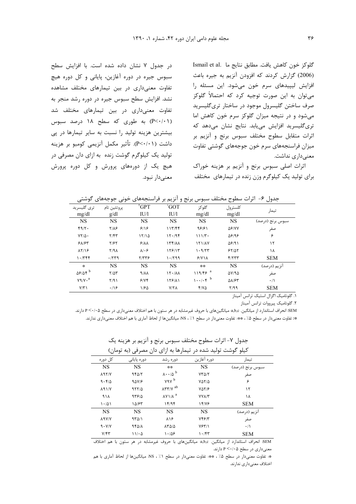Esmail et al. العش يافت. مطابق نتايج ما (2006) گزارش كردند كه افزودن آنزيم به جيره باعث افزایش لیپیدهای سرم خون میشود. این مسئله را می توان به این صورت توجیه کرد که احتمالاً گلوکز صرف ساختن گلیسرول موجود در ساختار تریگلیسرید می شود و در نتیجه میزان گلوکز سرم خون کاهش اما تری گلیسرید افزایش می یابد. نتایج نشان می دهد که اثرات متقابل سطوح مختلف سبوس برنج و آنزیم بر میزان فراسنجههای سرم خون جوجههای گوشتی تفاوت معنے داری نداشت.

اثرات اصلی سبوس برنج و آنزیم بر هزینه خوراک برای تولید یک کیلوگرم وزن زنده در تیمارهای مختلف

در جدول ۷ نشان داده شده است. با افزایش سطح سبوس جیره در دوره آغازین، پایانی و کل دوره هیچ تفاوت معنیداری در بین تیمارهای مختلف مشاهده نشد. افزایش سطح سبوس جیره در دوره رشد منجر به تفاوت معنیداری در بین تیمارهای مختلف شد (P<۰/۰۱) به طوری که سطح ۱۸ درصد سبوس بیشترین هزینه تولید را نسبت به سایر تیمارها در پی داشت (P<٠/٠١). تأثير مكمل آنزيمي كومبو بر هزينه تولید یک کیلوگرم گوشت زنده به ازای دان مصرفی در هیچ یک از دورههای پرورش و کل دوره پرورش معنى دار نبود.

جدول ۶– اثرات سطوح مختلف سبوس برنج و آنزیم بر فراسنجههای خونی جوجههای گوشتی

| ترى گليسريد<br>mg/dl       | پروتئين تام<br>g/dl          | <sup>r</sup> GPT<br>IU/1 | 'GOT<br>IU/1 | گلو کز<br>mg/dl                        | كلسترول<br>mg/dl      | تيمار                                                                                                         |
|----------------------------|------------------------------|--------------------------|--------------|----------------------------------------|-----------------------|---------------------------------------------------------------------------------------------------------------|
| <b>NS</b>                  | <b>NS</b>                    | <b>NS</b>                | <b>NS</b>    | <b>NS</b>                              | <b>NS</b>             | سبوس برنج (درصد)                                                                                              |
| f9/7.                      | $Y/\Lambda$ ۶                | 9/19                     | 117/FF       | 98181                                  | $\Delta$ ۶/۷۷         | صفر                                                                                                           |
| $YY/\Delta$ .              | $Y/\mathfrak{F}\mathfrak{r}$ | 15/10                    | 17.194       | 111/T                                  | $\Delta$ ۶/۹۶         | ۶                                                                                                             |
| 9197                       | $Y/\mathcal{F}Y$             | 9/11                     | $\lambda$    | <b>ITI/AY</b>                          | 58/91                 | ١٢                                                                                                            |
| $\lambda Y/\lambda P$      | Y/9A                         | $\lambda/\cdot$ ۶        | 159/15       | 1.9/77                                 | 55/25                 | ۱۸                                                                                                            |
| 1.7799                     | .779                         | ۲/۳۳۶                    | 1.799        | 9/N                                    | f/TTT                 | <b>SEM</b>                                                                                                    |
| 察                          | <b>NS</b>                    | <b>NS</b>                | <b>NS</b>    | 崇崇                                     | <b>NS</b>             | انزیم (درصد)                                                                                                  |
| $\Delta$ ۶/۵۴ $^{\rm b}$   | $Y/\Delta Y$                 | $9/\lambda\lambda$       | 15.74        | $119/55$ <sup>a</sup>                  | $\Delta V / 9 \Delta$ | صفر                                                                                                           |
| $Y^q/Y \cdot$ <sup>a</sup> | Y/91                         | 5/4                      | 158/11       | $1 \cdot \cdot / \cdot f$ <sup>b</sup> | <b>AN/۶۳</b>          | $\cdot/\right)$                                                                                               |
| Y/Y                        | .19                          | 1/80                     | Y/Y          | Y/YQ                                   | Y/99                  | <b>SEM</b>                                                                                                    |
|                            |                              |                          |              |                                        |                       | $\mathbf{r} = \mathbf{r}$ , $\mathbf{r} = \mathbf{r}$ , $\mathbf{r} = \mathbf{r}$ , $\mathbf{r} = \mathbf{r}$ |

١. گلوتاميک اگزال استيک ترانس آميناز ٢. گلوتاميک پيرووات ترانس آميناز

EM: انحراف استاندارد از میانگین. a,b,c. میانگین های با حروف غیرمشابه در هر ستون با هم اختلاف معنیداری در سطح ۲۰/۰۵ دارند. »: تفاوت معنی دار در سطح ۵٪ ، »»: تفاوت معنی دار در سطح ۱٪ ، NS: میانگینها از لحاظ آماری با هم اختلاف معنی داری ندارند.

|                              |             |                                             | کیلو کوشت تولید شده در تیمارها به ازای دان مصرفی (به تومان) |                  |
|------------------------------|-------------|---------------------------------------------|-------------------------------------------------------------|------------------|
| کل دوره                      | دورہ پایانی | دوره رشد                                    | دوره آغازين                                                 | تيمار            |
| <b>NS</b>                    | <b>NS</b>   | **                                          | NS                                                          | سبوس برنج (درصد) |
| $\lambda$ 97/Y               | 950/7       | $\lambda \cdot \cdot / \Delta^b$            | $YY\Delta/Y$                                                | صفر              |
| 9.51                         | 90Y/F       | Y9Y <sup>b</sup>                            | $Y\Delta Y/\Delta$                                          | ۶                |
| $\lambda$ 91/Y               | 957/2       | $\lambda \Upsilon \Upsilon/V$ <sup>ab</sup> | $Y\Delta Y/F$                                               | ۱۲               |
| ۹۱۸                          | 9790        | $\lambda$ Y \ / $\lambda$ <sup>a</sup>      | <b>YYA/٣</b>                                                | ۱۸               |
| 1.401                        | ۱۵/۶۳       | 15/95                                       | 14/78                                                       | <b>SEM</b>       |
| <b>NS</b>                    | <b>NS</b>   | NS                                          | <b>NS</b>                                                   | آنزیم (درصد)     |
| <b>ARY/Y</b>                 | 970/1       | 818                                         | Yff'                                                        | صفر              |
| 9.1                          | 98018       | $\lambda \Upsilon \Delta/\Delta$            | Y5Y/1                                                       | $\cdot/\Lambda$  |
| $Y/\mathfrak{f}\mathfrak{r}$ | ۱۱/۰۵       | 1.189                                       | ۱۰/۴۳                                                       | <b>SEM</b>       |

جدول ٧- اثرات سطوح مختلف سبوس برنج و آنزیم بر هزینه یک  $\mathbf{A}$  and  $\mathbf{A}$  and  $\mathbf{A}$ ے<br>کا تج شستان شن

.<br>SEM: انحراف استاندارد از میانگین. a,b,c میانگینهای با حروف غیرمشابه در هر ستون با هم اختلاف معنیداری در سطح ۰/۰۵ ۱/ به دارند.

\*: تفاوت معنےدار در سطح ۵٪ ، \*\*: تفاوت معنےدار در سطح ۱٪ ، NS« میانگینها از لحاظ آماری با هم اختلاف معنىداري ندارند.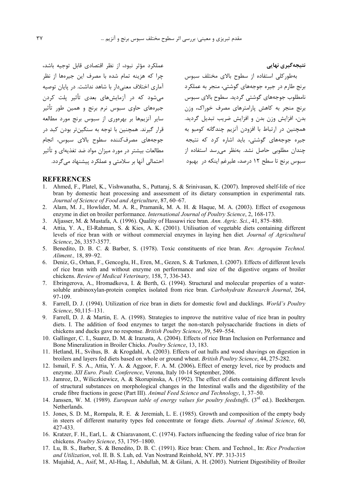عملکرد مؤثر نبود، از نظر اقتصادی قابل توجیه باشد، چرا که هزینه تمام شده با مصرف این جیرهها از نظر آماری اختلاف معنی۱دار با شاهد نداشت. در پایان توصیه می شود که در آزمایش های بعدی تأثیر پلت کردن جیرههای حاوی سبوس نرم برنج و همین طور تأثیر سایر آنزیهها بر بهرهوری از سبوس برنج مورد مطالعه قرار گيرند. همچنين با توجه به سنگينتر بودن كيد در جوجەھاي مصرفکننده سطوح بالاي سبوس، انجام مطالعات بیشتر در مورد میزان مواد ضد تغذیهای و تأثیر احتمالی آنها بر سلامتی و عملکرد پیشنهاد می گردد.

.<br>بهطور کلی استفاده از سطوح بالای مختلف سبوس برنج طارم در جیره جوجههای گوشتی، منجر به عملکرد نامطلوب جوجههای گوشتی گردید. سطوح بالای سبوس برنج منجر به کاهش پارامترهای مصرف خوراک، وزن بدن، افزايش وزن بدن و افزايش ضريب تبديل گرديد. همچنین در ارتباط با افزودن آنزیم چندگانه کومبو به جیره جوجههای گوشتی، باید اشاره کرد که نتیجه چندان مطلوبی حاصل نشد. بهنظر می<sub>،</sub>رسد استفاده از سبوس برنج تا سطح ۱۲ درصد، علیرغم اینکه در ۱بهبود

نتیجهگیری نهایی

## **REFERENCES**

- Ahmed, F., Platel, K., Vishwanatha, S., Puttaraj, S. & Srinivasan, K. (2007). Improved shelf-life of rice bran by domestic heat processing and assessment of its dietary consumption in experimental rats. Journal of Science of Food and Agriculture, 87, 60–67.
- 2. Alam, M. J., Howlider, M. A. R., Pramanik, M. A. H. & Haque, M. A. (2003). Effect of exogenous enzyme in diet on broiler performance. International Journal of Poultry Science, 2, 168-173.
- 3. Aljasser, M. & Mustafa, A. (1996). Quality of Hassawi rice bran. Ann. Agric. Sci., 41, 875-880.
- 4. Attia, Y. A., El-Rahman, S. & Kies, A. K. (2001). Utilisation of vegetable diets containing different levels of rice bran with or without commercial enzymes in laying hen diet. Journal of Agricultural Science, 26, 3357-3577.
- 5. Benedito, D. B. C. & Barber, S. (1978). Toxic constituents of rice bran. Rev. Agroquim Technol. Aliment., 18, 89-92.
- 6. Deniz, G., Orhan, F., Gencoglu, H., Eren, M., Gezen, S. & Turkmen, I. (2007). Effects of different levels of rice bran with and without enzyme on performance and size of the digestive organs of broiler chickens. Review of Medical Veterinary, 158, 7, 336-343.
- Ebringerova, A., Hromadkova, I. & Berth, G. (1994). Structural and molecular properties of a water- $7\overline{ }$ soluble arabinoxylan-protein complex isolated from rice bran. Carbohydrate Research Journal, 264, 97-109.
- 8. Farrell, D. J. (1994). Utilization of rice bran in diets for domestic fowl and ducklings. World's Poultry Science, 50,115-131.
- 9. Farrell, D. J. & Martin, E. A. (1998). Strategies to improve the nutritive value of rice bran in poultry diets. I. The addition of food enzymes to target the non-starch polysaccharide fractions in diets of chickens and ducks gave no response. British Poultry Science, 39, 549–554.
- 10. Gallinger, C. I., Suarez, D. M. & Irazusta, A. (2004). Effects of rice Bran Inclusion on Performance and Bone Mineralization in Broiler Chicks. Poultry Science, 13, 183.
- 11. Hetland, H., Svihus, B. & Krogdahl, A. (2003). Effects of oat hulls and wood shavings on digestion in broilers and layers fed diets based on whole or ground wheat. British Poultry Science, 44, 275-282.
- 12. Ismail, F. S. A., Attia, Y. A. & Aggoor, F. A. M. (2006). Effect of energy level, rice by products and enzyme. XII Euro. Poult. Conference, Verona, Italy 10-14 September, 2006.
- 13. Jamroz, D., Wiliczkiewicz, A. & Skorupinska, A. (1992). The effect of diets containing different levels of structural substances on morphological changes in the Intestinal walls and the digestibility of the crude fibre fractions in geese (Part III). Animal Feed Science and Technology, 1, 37–50.
- 14. Janssen, W. M. (1989). European table of energy values for poultry feedstuffs. (3<sup>rd</sup> ed.). Beekbergen. Netherlands.
- 15. Jones, S. D. M., Rornpala, R. E. & Jeremiah, L. E. (1985). Growth and composition of the empty body in steers of different maturity types fed concentrate or forage diets. Journal of Animal Science, 60, 427-433.
- 16. Kratzer, F. H., Earl, L. & Chiaravanont, C. (1974). Factors influencing the feeding value of rice bran for chickens. Poultry Science, 53, 1795-1800.
- 17. Lu, B. S., Barber, S. & Benedito, D. B. C. (1991). Rice bran: Chem. and Technol., In: Rice Production and Utilization, vol. II. B. S. Luh, ed. Van Nostrand Reinhold, NY. PP. 313-315
- 18. Mujahid, A., Asif, M., Al-Haq, I., Abdullah, M. & Gilani, A. H. (2003). Nutrient Digestibility of Broiler